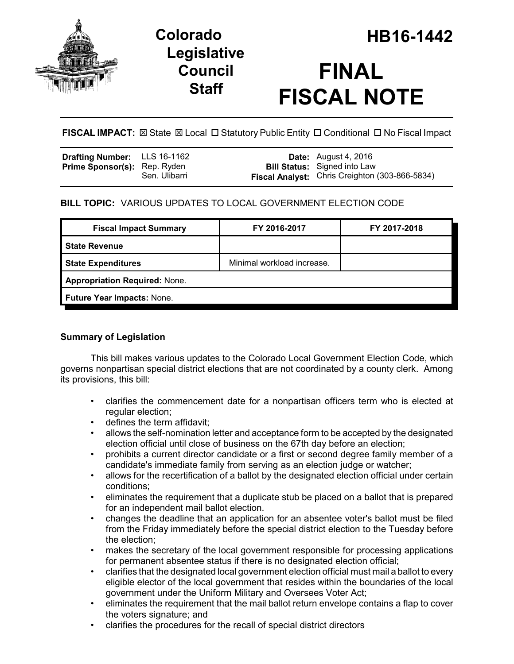

## **Legislative Council Staff**

# **FINAL FISCAL NOTE**

**FISCAL IMPACT:**  $\boxtimes$  State  $\boxtimes$  Local  $\Box$  Statutory Public Entity  $\Box$  Conditional  $\Box$  No Fiscal Impact

| Drafting Number: LLS 16-1162        |               | <b>Date:</b> August 4, 2016                           |
|-------------------------------------|---------------|-------------------------------------------------------|
| <b>Prime Sponsor(s): Rep. Ryden</b> |               | <b>Bill Status:</b> Signed into Law                   |
|                                     | Sen. Ulibarri | <b>Fiscal Analyst:</b> Chris Creighton (303-866-5834) |

## **BILL TOPIC:** VARIOUS UPDATES TO LOCAL GOVERNMENT ELECTION CODE

| FY 2016-2017                         | FY 2017-2018 |  |  |  |
|--------------------------------------|--------------|--|--|--|
|                                      |              |  |  |  |
| Minimal workload increase.           |              |  |  |  |
| <b>Appropriation Required: None.</b> |              |  |  |  |
| Future Year Impacts: None.           |              |  |  |  |
|                                      |              |  |  |  |

### **Summary of Legislation**

This bill makes various updates to the Colorado Local Government Election Code, which governs nonpartisan special district elections that are not coordinated by a county clerk. Among its provisions, this bill:

- clarifies the commencement date for a nonpartisan officers term who is elected at regular election;
- defines the term affidavit;
- allows the self-nomination letter and acceptance form to be accepted by the designated election official until close of business on the 67th day before an election;
- prohibits a current director candidate or a first or second degree family member of a candidate's immediate family from serving as an election judge or watcher;
- allows for the recertification of a ballot by the designated election official under certain conditions;
- eliminates the requirement that a duplicate stub be placed on a ballot that is prepared for an independent mail ballot election.
- changes the deadline that an application for an absentee voter's ballot must be filed from the Friday immediately before the special district election to the Tuesday before the election;
- makes the secretary of the local government responsible for processing applications for permanent absentee status if there is no designated election official;
- clarifies that the designated local government election official must mail a ballot to every eligible elector of the local government that resides within the boundaries of the local government under the Uniform Military and Oversees Voter Act;
- eliminates the requirement that the mail ballot return envelope contains a flap to cover the voters signature; and
- clarifies the procedures for the recall of special district directors